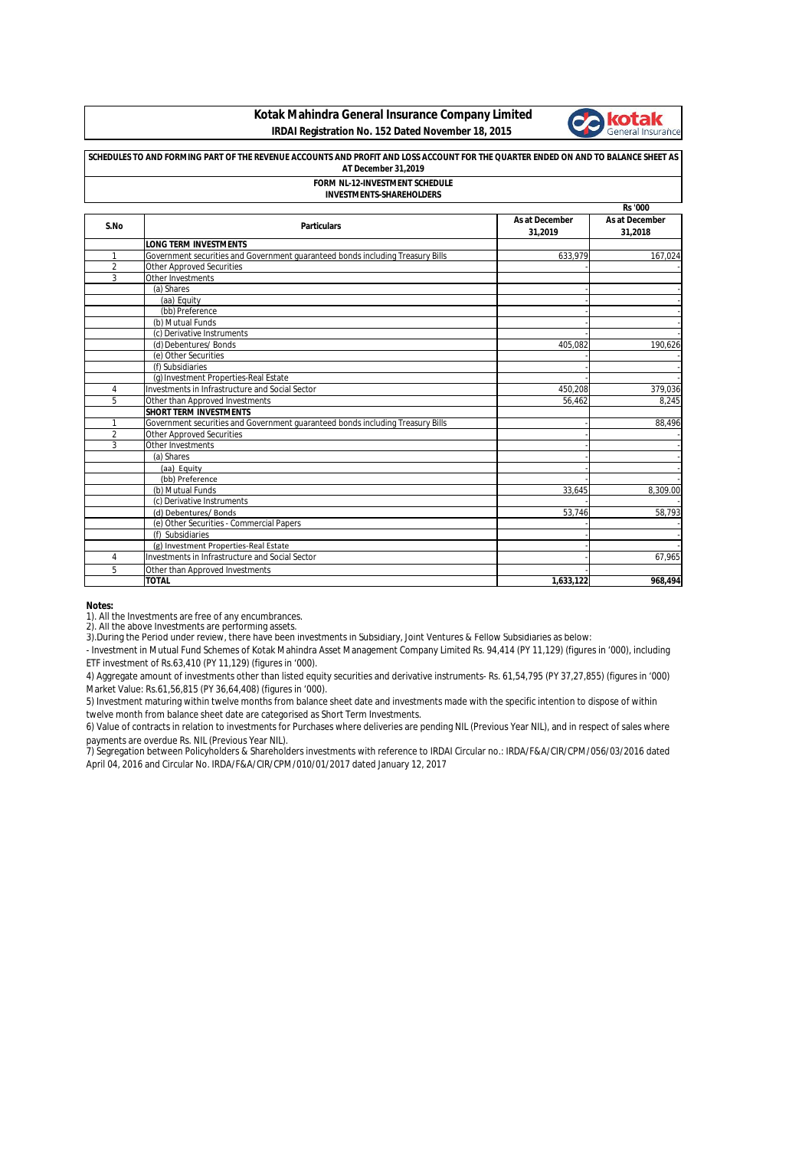## **Kotak Mahindra General Insurance Company Limited IRDAI Registration No. 152 Dated November 18, 2015**



# **SCHEDULES TO AND FORMING PART OF THE REVENUE ACCOUNTS AND PROFIT AND LOSS ACCOUNT FOR THE QUARTER ENDED ON AND TO BALANCE SHEET AS AT December 31,2019**

#### **FORM NL-12-INVESTMENT SCHEDULE INVESTMENTS-SHAREHOLDERS**

|                |                                                                                |                           | <b>Rs</b> '000            |
|----------------|--------------------------------------------------------------------------------|---------------------------|---------------------------|
| S.No           | <b>Particulars</b>                                                             | As at December<br>31,2019 | As at December<br>31,2018 |
|                | <b>LONG TERM INVESTMENTS</b>                                                   |                           |                           |
| 1              | Government securities and Government quaranteed bonds including Treasury Bills | 633.979                   | 167.024                   |
| $\overline{2}$ | <b>Other Approved Securities</b>                                               |                           |                           |
| 3              | Other Investments                                                              |                           |                           |
|                | (a) Shares                                                                     |                           |                           |
|                | (aa) Equity                                                                    |                           |                           |
|                | (bb) Preference                                                                |                           |                           |
|                | (b) Mutual Funds                                                               |                           |                           |
|                | (c) Derivative Instruments                                                     |                           |                           |
|                | (d) Debentures/ Bonds                                                          | 405.082                   | 190.626                   |
|                | (e) Other Securities                                                           |                           |                           |
|                | (f) Subsidiaries                                                               |                           |                           |
|                | (g) Investment Properties-Real Estate                                          |                           |                           |
| 4              | Investments in Infrastructure and Social Sector                                | 450,208                   | 379,036                   |
| 5              | Other than Approved Investments                                                | 56,462                    | 8.245                     |
|                | <b>SHORT TERM INVESTMENTS</b>                                                  |                           |                           |
| 1              | Government securities and Government guaranteed bonds including Treasury Bills |                           | 88,496                    |
| $\overline{2}$ | <b>Other Approved Securities</b>                                               |                           |                           |
| 3              | Other Investments                                                              |                           |                           |
|                | (a) Shares                                                                     |                           |                           |
|                | (aa) Equity                                                                    |                           |                           |
|                | (bb) Preference                                                                |                           |                           |
|                | (b) Mutual Funds                                                               | 33,645                    | 8.309.00                  |
|                | (c) Derivative Instruments                                                     |                           |                           |
|                | (d) Debentures/ Bonds                                                          | 53,746                    | 58,793                    |
|                | (e) Other Securities - Commercial Papers                                       |                           |                           |
|                | (f) Subsidiaries                                                               |                           |                           |
|                | (g) Investment Properties-Real Estate                                          |                           |                           |
| 4              | Investments in Infrastructure and Social Sector                                |                           | 67,965                    |
| 5              | Other than Approved Investments                                                |                           |                           |
|                | <b>TOTAL</b>                                                                   | 1,633,122                 | 968,494                   |

### **Notes:**

1). All the Investments are free of any encumbrances.

2). All the above Investments are performing assets. 3).During the Period under review, there have been investments in Subsidiary, Joint Ventures & Fellow Subsidiaries as below:

- Investment in Mutual Fund Schemes of Kotak Mahindra Asset Management Company Limited Rs. 94,414 (PY 11,129) (figures in '000), including ETF investment of Rs.63,410 (PY 11,129) (figures in '000).

4) Aggregate amount of investments other than listed equity securities and derivative instruments- Rs. 61,54,795 (PY 37,27,855) (figures in '000) Market Value: Rs.61,56,815 (PY 36,64,408) (figures in '000).

5) Investment maturing within twelve months from balance sheet date and investments made with the specific intention to dispose of within twelve month from balance sheet date are categorised as Short Term Investments.

6) Value of contracts in relation to investments for Purchases where deliveries are pending NIL (Previous Year NIL), and in respect of sales where payments are overdue Rs. NIL (Previous Year NIL).

7) Segregation between Policyholders & Shareholders investments with reference to IRDAI Circular no.: IRDA/F&A/CIR/CPM/056/03/2016 dated April 04, 2016 and Circular No. IRDA/F&A/CIR/CPM/010/01/2017 dated January 12, 2017